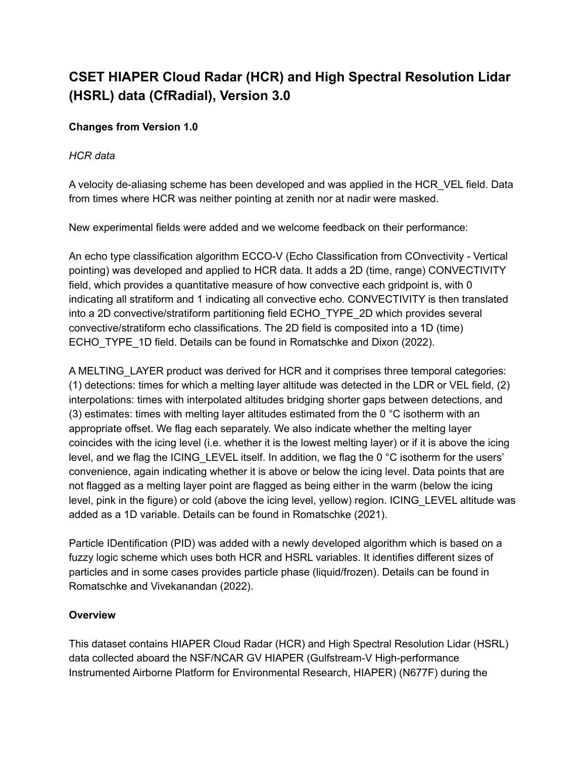# **CSET HIAPER Cloud Radar (HCR) and High Spectral Resolution Lidar (HSRL) data (CfRadial), Version 3.0**

# **Changes from Version 1.0**

#### *HCR data*

A velocity de-aliasing scheme has been developed and was applied in the HCR\_VEL field. Data from times where HCR was neither pointing at zenith nor at nadir were masked.

New experimental fields were added and we welcome feedback on their performance:

An echo type classification algorithm ECCO-V (Echo Classification from COnvectivity - Vertical pointing) was developed and applied to HCR data. It adds a 2D (time, range) CONVECTIVITY field, which provides a quantitative measure of how convective each gridpoint is, with 0 indicating all stratiform and 1 indicating all convective echo. CONVECTIVITY is then translated into a 2D convective/stratiform partitioning field ECHO\_TYPE\_2D which provides several convective/stratiform echo classifications. The 2D field is composited into a 1D (time) ECHO\_TYPE\_1D field. Details can be found in Romatschke and Dixon (2022).

A MELTING\_LAYER product was derived for HCR and it comprises three temporal categories: (1) detections: times for which a melting layer altitude was detected in the LDR or VEL field, (2) interpolations: times with interpolated altitudes bridging shorter gaps between detections, and (3) estimates: times with melting layer altitudes estimated from the 0  $\degree$ C isotherm with an appropriate offset. We flag each separately. We also indicate whether the melting layer coincides with the icing level (i.e. whether it is the lowest melting layer) or if it is above the icing level, and we flag the ICING\_LEVEL itself. In addition, we flag the 0 °C isotherm for the users' convenience, again indicating whether it is above or below the icing level. Data points that are not flagged as a melting layer point are flagged as being either in the warm (below the icing level, pink in the figure) or cold (above the icing level, yellow) region. ICING\_LEVEL altitude was added as a 1D variable. Details can be found in Romatschke (2021).

Particle IDentification (PID) was added with a newly developed algorithm which is based on a fuzzy logic scheme which uses both HCR and HSRL variables. It identifies different sizes of particles and in some cases provides particle phase (liquid/frozen). Details can be found in Romatschke and Vivekanandan (2022).

# **Overview**

This dataset contains HIAPER Cloud Radar (HCR) and High Spectral Resolution Lidar (HSRL) data collected aboard the NSF/NCAR GV HIAPER (Gulfstream-V High-performance Instrumented Airborne Platform for Environmental Research, HIAPER) (N677F) during the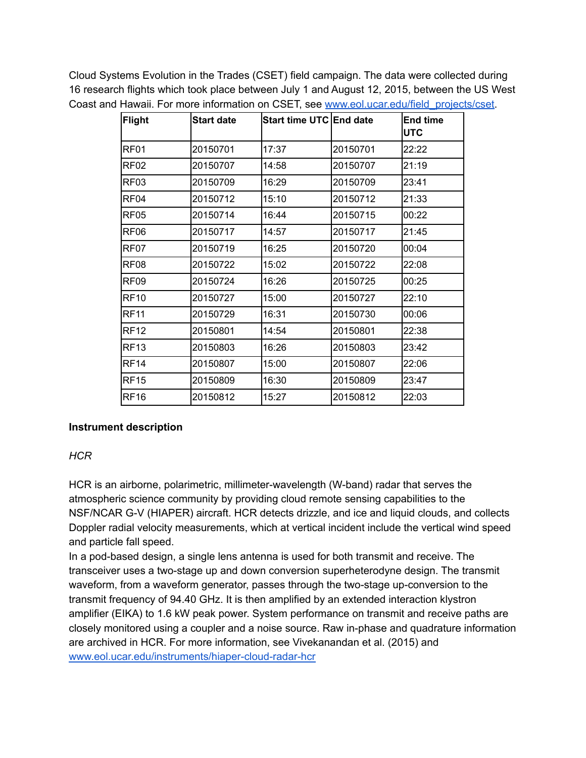Cloud Systems Evolution in the Trades (CSET) field campaign. The data were collected during 16 research flights which took place between July 1 and August 12, 2015, between the US West Coast and Hawaii. For more information on CSET, see www.eol.ucar.edu/field projects/cset.

| <b>Flight</b>    | <b>Start date</b> | Start time UTC End date |          | <b>End time</b><br><b>IUTC</b> |
|------------------|-------------------|-------------------------|----------|--------------------------------|
| RF01             | 20150701          | 17:37                   | 20150701 | 22:22                          |
| RF02             | 20150707          | 14:58                   | 20150707 | 21:19                          |
| RF <sub>03</sub> | 20150709          | 16:29                   | 20150709 | 23:41                          |
| RF04             | 20150712          | 15:10                   | 20150712 | 21:33                          |
| RF05             | 20150714          | 16:44                   | 20150715 | 00:22                          |
| RF <sub>06</sub> | 20150717          | 14:57                   | 20150717 | 21:45                          |
| RF07             | 20150719          | 16:25                   | 20150720 | 00:04                          |
| RF <sub>08</sub> | 20150722          | 15:02                   | 20150722 | 22:08                          |
| RF <sub>09</sub> | 20150724          | 16:26                   | 20150725 | 00:25                          |
| <b>RF10</b>      | 20150727          | 15:00                   | 20150727 | 22:10                          |
| <b>RF11</b>      | 20150729          | 16:31                   | 20150730 | 00:06                          |
| <b>RF12</b>      | 20150801          | 14:54                   | 20150801 | 22:38                          |
| <b>RF13</b>      | 20150803          | 16:26                   | 20150803 | 23:42                          |
| <b>RF14</b>      | 20150807          | 15:00                   | 20150807 | 22:06                          |
| <b>RF15</b>      | 20150809          | 16:30                   | 20150809 | 23:47                          |
| <b>RF16</b>      | 20150812          | 15:27                   | 20150812 | 22:03                          |

# **Instrument description**

# *HCR*

HCR is an airborne, polarimetric, millimeter-wavelength (W-band) radar that serves the atmospheric science community by providing cloud remote sensing capabilities to the NSF/NCAR G-V (HIAPER) aircraft. HCR detects drizzle, and ice and liquid clouds, and collects Doppler radial velocity measurements, which at vertical incident include the vertical wind speed and particle fall speed.

In a pod-based design, a single lens antenna is used for both transmit and receive. The transceiver uses a two-stage up and down conversion superheterodyne design. The transmit waveform, from a waveform generator, passes through the two-stage up-conversion to the transmit frequency of 94.40 GHz. It is then amplified by an extended interaction klystron amplifier (EIKA) to 1.6 kW peak power. System performance on transmit and receive paths are closely monitored using a coupler and a noise source. Raw in-phase and quadrature information are archived in HCR. For more information, see Vivekanandan et al. (2015) and [www.eol.ucar.edu/instruments/hiaper-cloud-radar-hcr](http://www.eol.ucar.edu/instruments/hiaper-cloud-radar-hcr)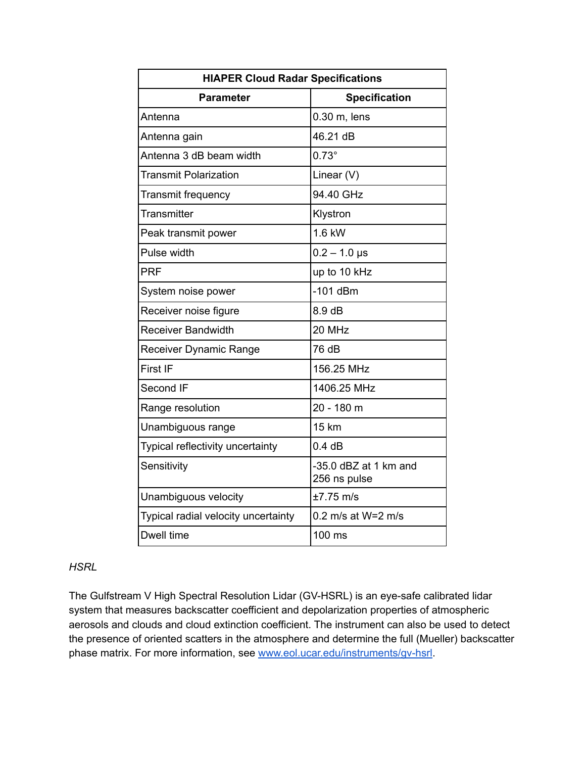| <b>HIAPER Cloud Radar Specifications</b> |                                       |  |  |
|------------------------------------------|---------------------------------------|--|--|
| <b>Parameter</b>                         | <b>Specification</b>                  |  |  |
| Antenna                                  | 0.30 m, lens                          |  |  |
| Antenna gain                             | 46.21 dB                              |  |  |
| Antenna 3 dB beam width                  | $0.73^\circ$                          |  |  |
| <b>Transmit Polarization</b>             | Linear (V)                            |  |  |
| Transmit frequency                       | 94.40 GHz                             |  |  |
| <b>Transmitter</b>                       | Klystron                              |  |  |
| Peak transmit power                      | 1.6 kW                                |  |  |
| Pulse width                              | $0.2 - 1.0$ µs                        |  |  |
| <b>PRF</b>                               | up to 10 kHz                          |  |  |
| System noise power                       | $-101$ dBm                            |  |  |
| Receiver noise figure                    | 8.9dB                                 |  |  |
| <b>Receiver Bandwidth</b>                | 20 MHz                                |  |  |
| <b>Receiver Dynamic Range</b>            | 76 dB                                 |  |  |
| First IF                                 | 156.25 MHz                            |  |  |
| Second IF                                | 1406.25 MHz                           |  |  |
| Range resolution                         | 20 - 180 m                            |  |  |
| Unambiguous range                        | <b>15 km</b>                          |  |  |
| Typical reflectivity uncertainty         | 0.4 dB                                |  |  |
| Sensitivity                              | -35.0 dBZ at 1 km and<br>256 ns pulse |  |  |
| Unambiguous velocity                     | $±7.75$ m/s                           |  |  |
| Typical radial velocity uncertainty      | 0.2 m/s at W=2 m/s                    |  |  |
| Dwell time                               | 100 ms                                |  |  |

# *HSRL*

The Gulfstream V High Spectral Resolution Lidar (GV-HSRL) is an eye-safe calibrated lidar system that measures backscatter coefficient and depolarization properties of atmospheric aerosols and clouds and cloud extinction coefficient. The instrument can also be used to detect the presence of oriented scatters in the atmosphere and determine the full (Mueller) backscatter phase matrix. For more information, see [www.eol.ucar.edu/instruments/gv-hsrl.](http://www.eol.ucar.edu/instruments/gv-hsrl)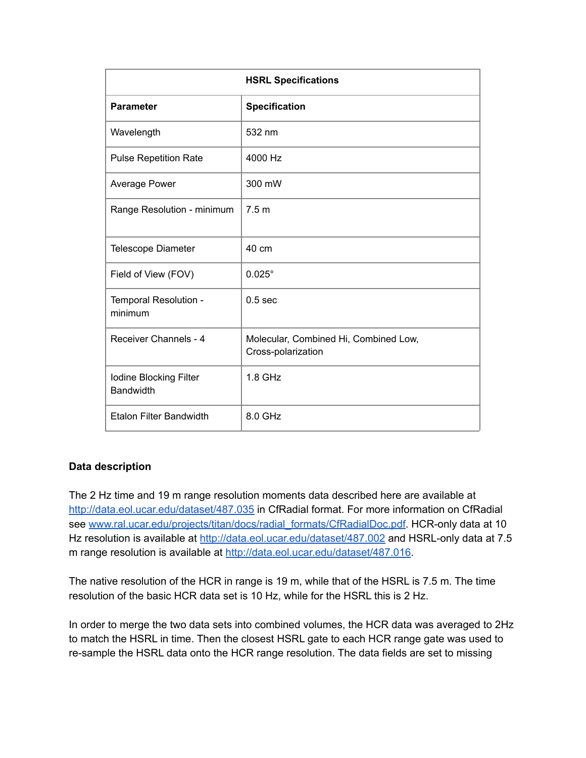| <b>HSRL Specifications</b>                 |                                                             |  |
|--------------------------------------------|-------------------------------------------------------------|--|
| <b>Parameter</b>                           | <b>Specification</b>                                        |  |
| Wavelength                                 | 532 nm                                                      |  |
| <b>Pulse Repetition Rate</b>               | 4000 Hz                                                     |  |
| Average Power                              | 300 mW                                                      |  |
| Range Resolution - minimum                 | 7.5 <sub>m</sub>                                            |  |
| <b>Telescope Diameter</b>                  | 40 cm                                                       |  |
| Field of View (FOV)                        | $0.025^\circ$                                               |  |
| Temporal Resolution -<br>minimum           | 0.5 <sub>sec</sub>                                          |  |
| Receiver Channels - 4                      | Molecular, Combined Hi, Combined Low,<br>Cross-polarization |  |
| Iodine Blocking Filter<br><b>Bandwidth</b> | <b>1.8 GHz</b>                                              |  |
| <b>Etalon Filter Bandwidth</b>             | 8.0 GHz                                                     |  |

# **Data description**

The 2 Hz time and 19 m range resolution moments data described here are available at <http://data.eol.ucar.edu/dataset/487.035> in CfRadial format. For more information on CfRadial see [www.ral.ucar.edu/projects/titan/docs/radial\\_formats/CfRadialDoc.pdf.](http://www.ral.ucar.edu/projects/titan/docs/radial_formats/CfRadialDoc.pdf) HCR-only data at 10 Hz resolution is available at <http://data.eol.ucar.edu/dataset/487.002> and HSRL-only data at 7.5 m range resolution is available at <http://data.eol.ucar.edu/dataset/487.016>.

The native resolution of the HCR in range is 19 m, while that of the HSRL is 7.5 m. The time resolution of the basic HCR data set is 10 Hz, while for the HSRL this is 2 Hz.

In order to merge the two data sets into combined volumes, the HCR data was averaged to 2Hz to match the HSRL in time. Then the closest HSRL gate to each HCR range gate was used to re-sample the HSRL data onto the HCR range resolution. The data fields are set to missing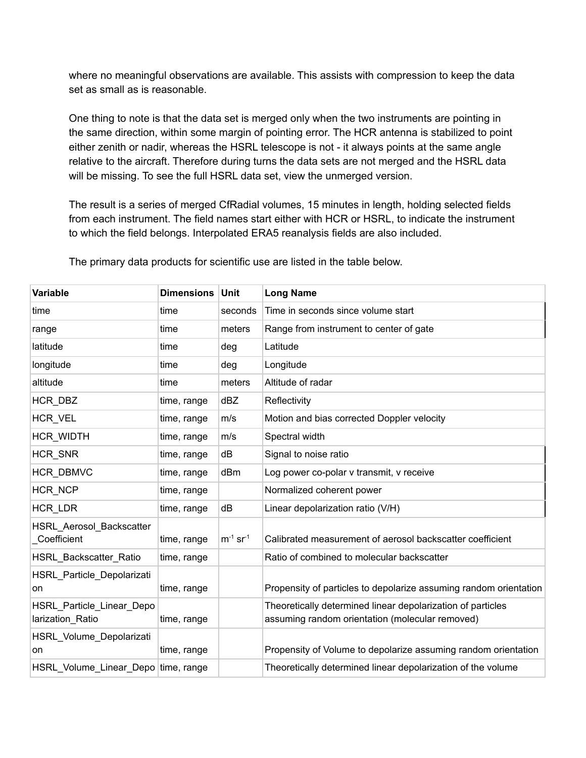where no meaningful observations are available. This assists with compression to keep the data set as small as is reasonable.

One thing to note is that the data set is merged only when the two instruments are pointing in the same direction, within some margin of pointing error. The HCR antenna is stabilized to point either zenith or nadir, whereas the HSRL telescope is not - it always points at the same angle relative to the aircraft. Therefore during turns the data sets are not merged and the HSRL data will be missing. To see the full HSRL data set, view the unmerged version.

The result is a series of merged CfRadial volumes, 15 minutes in length, holding selected fields from each instrument. The field names start either with HCR or HSRL, to indicate the instrument to which the field belongs. Interpolated ERA5 reanalysis fields are also included.

| Variable                                      | <b>Dimensions</b> | <b>Unit</b>               | <b>Long Name</b>                                                                                               |
|-----------------------------------------------|-------------------|---------------------------|----------------------------------------------------------------------------------------------------------------|
| time                                          | time              | seconds                   | Time in seconds since volume start                                                                             |
| range                                         | time              | meters                    | Range from instrument to center of gate                                                                        |
| latitude                                      | time              | deg                       | Latitude                                                                                                       |
| longitude                                     | time              | deg                       | Longitude                                                                                                      |
| altitude                                      | time              | meters                    | Altitude of radar                                                                                              |
| HCR DBZ                                       | time, range       | dBZ                       | Reflectivity                                                                                                   |
| HCR VEL                                       | time, range       | m/s                       | Motion and bias corrected Doppler velocity                                                                     |
| HCR_WIDTH                                     | time, range       | m/s                       | Spectral width                                                                                                 |
| HCR SNR                                       | time, range       | dB                        | Signal to noise ratio                                                                                          |
| HCR DBMVC                                     | time, range       | dBm                       | Log power co-polar v transmit, v receive                                                                       |
| HCR NCP                                       | time, range       |                           | Normalized coherent power                                                                                      |
| HCR_LDR                                       | time, range       | dB                        | Linear depolarization ratio (V/H)                                                                              |
| HSRL_Aerosol_Backscatter<br>Coefficient       | time, range       | $m^{-1}$ sr <sup>-1</sup> | Calibrated measurement of aerosol backscatter coefficient                                                      |
| HSRL_Backscatter_Ratio                        | time, range       |                           | Ratio of combined to molecular backscatter                                                                     |
| HSRL_Particle_Depolarizati<br>on              | time, range       |                           | Propensity of particles to depolarize assuming random orientation                                              |
| HSRL_Particle_Linear_Depo<br>larization Ratio | time, range       |                           | Theoretically determined linear depolarization of particles<br>assuming random orientation (molecular removed) |
| HSRL_Volume_Depolarizati<br>on                | time, range       |                           | Propensity of Volume to depolarize assuming random orientation                                                 |
| HSRL_Volume_Linear_Depo   time, range         |                   |                           | Theoretically determined linear depolarization of the volume                                                   |

The primary data products for scientific use are listed in the table below.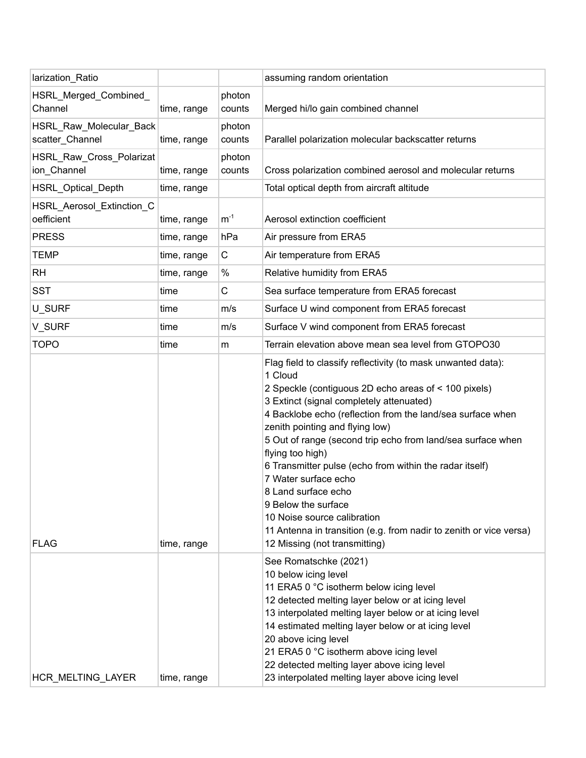| larization_Ratio                           |             |                  | assuming random orientation                                                                                                                                                                                                                                                                                                                                                                                                                                                                                                                                                                                                            |
|--------------------------------------------|-------------|------------------|----------------------------------------------------------------------------------------------------------------------------------------------------------------------------------------------------------------------------------------------------------------------------------------------------------------------------------------------------------------------------------------------------------------------------------------------------------------------------------------------------------------------------------------------------------------------------------------------------------------------------------------|
| HSRL_Merged_Combined_<br>Channel           | time, range | photon<br>counts | Merged hi/lo gain combined channel                                                                                                                                                                                                                                                                                                                                                                                                                                                                                                                                                                                                     |
| HSRL_Raw_Molecular_Back<br>scatter_Channel | time, range | photon<br>counts | Parallel polarization molecular backscatter returns                                                                                                                                                                                                                                                                                                                                                                                                                                                                                                                                                                                    |
| HSRL_Raw_Cross_Polarizat<br>ion_Channel    | time, range | photon<br>counts | Cross polarization combined aerosol and molecular returns                                                                                                                                                                                                                                                                                                                                                                                                                                                                                                                                                                              |
| <b>HSRL Optical Depth</b>                  | time, range |                  | Total optical depth from aircraft altitude                                                                                                                                                                                                                                                                                                                                                                                                                                                                                                                                                                                             |
| HSRL_Aerosol_Extinction_C<br>oefficient    | time, range | $m^{-1}$         | Aerosol extinction coefficient                                                                                                                                                                                                                                                                                                                                                                                                                                                                                                                                                                                                         |
| <b>PRESS</b>                               | time, range | hPa              | Air pressure from ERA5                                                                                                                                                                                                                                                                                                                                                                                                                                                                                                                                                                                                                 |
| <b>TEMP</b>                                | time, range | C                | Air temperature from ERA5                                                                                                                                                                                                                                                                                                                                                                                                                                                                                                                                                                                                              |
| <b>RH</b>                                  | time, range | $\%$             | Relative humidity from ERA5                                                                                                                                                                                                                                                                                                                                                                                                                                                                                                                                                                                                            |
| <b>SST</b>                                 | time        | $\mathsf C$      | Sea surface temperature from ERA5 forecast                                                                                                                                                                                                                                                                                                                                                                                                                                                                                                                                                                                             |
| U_SURF                                     | time        | m/s              | Surface U wind component from ERA5 forecast                                                                                                                                                                                                                                                                                                                                                                                                                                                                                                                                                                                            |
| V_SURF                                     | time        | m/s              | Surface V wind component from ERA5 forecast                                                                                                                                                                                                                                                                                                                                                                                                                                                                                                                                                                                            |
| <b>TOPO</b>                                | time        | m                | Terrain elevation above mean sea level from GTOPO30                                                                                                                                                                                                                                                                                                                                                                                                                                                                                                                                                                                    |
| <b>FLAG</b>                                | time, range |                  | Flag field to classify reflectivity (to mask unwanted data):<br>1 Cloud<br>2 Speckle (contiguous 2D echo areas of < 100 pixels)<br>3 Extinct (signal completely attenuated)<br>4 Backlobe echo (reflection from the land/sea surface when<br>zenith pointing and flying low)<br>5 Out of range (second trip echo from land/sea surface when<br>flying too high)<br>6 Transmitter pulse (echo from within the radar itself)<br>7 Water surface echo<br>8 Land surface echo<br>9 Below the surface<br>10 Noise source calibration<br>11 Antenna in transition (e.g. from nadir to zenith or vice versa)<br>12 Missing (not transmitting) |
| HCR_MELTING_LAYER                          | time, range |                  | See Romatschke (2021)<br>10 below icing level<br>11 ERA5 0 °C isotherm below icing level<br>12 detected melting layer below or at icing level<br>13 interpolated melting layer below or at icing level<br>14 estimated melting layer below or at icing level<br>20 above icing level<br>21 ERA5 0 °C isotherm above icing level<br>22 detected melting layer above icing level<br>23 interpolated melting layer above icing level                                                                                                                                                                                                      |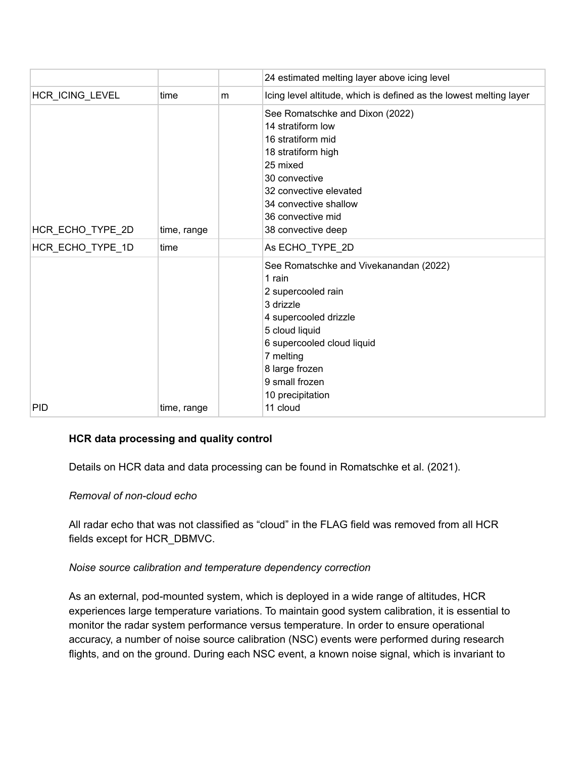|                  |             |   | 24 estimated melting layer above icing level                                                                                                                                                                                      |
|------------------|-------------|---|-----------------------------------------------------------------------------------------------------------------------------------------------------------------------------------------------------------------------------------|
| HCR_ICING_LEVEL  | time        | m | Icing level altitude, which is defined as the lowest melting layer                                                                                                                                                                |
| HCR_ECHO_TYPE_2D | time, range |   | See Romatschke and Dixon (2022)<br>14 stratiform low<br>16 stratiform mid<br>18 stratiform high<br>25 mixed<br>30 convective<br>32 convective elevated<br>34 convective shallow<br>36 convective mid<br>38 convective deep        |
| HCR_ECHO_TYPE_1D | time        |   | As ECHO_TYPE_2D                                                                                                                                                                                                                   |
|                  |             |   | See Romatschke and Vivekanandan (2022)<br>1 rain<br>2 supercooled rain<br>3 drizzle<br>4 supercooled drizzle<br>5 cloud liquid<br>6 supercooled cloud liquid<br>7 melting<br>8 large frozen<br>9 small frozen<br>10 precipitation |
| <b>PID</b>       | time, range |   | 11 cloud                                                                                                                                                                                                                          |

# **HCR data processing and quality control**

Details on HCR data and data processing can be found in Romatschke et al. (2021).

#### *Removal of non-cloud echo*

All radar echo that was not classified as "cloud" in the FLAG field was removed from all HCR fields except for HCR\_DBMVC.

#### *Noise source calibration and temperature dependency correction*

As an external, pod-mounted system, which is deployed in a wide range of altitudes, HCR experiences large temperature variations. To maintain good system calibration, it is essential to monitor the radar system performance versus temperature. In order to ensure operational accuracy, a number of noise source calibration (NSC) events were performed during research flights, and on the ground. During each NSC event, a known noise signal, which is invariant to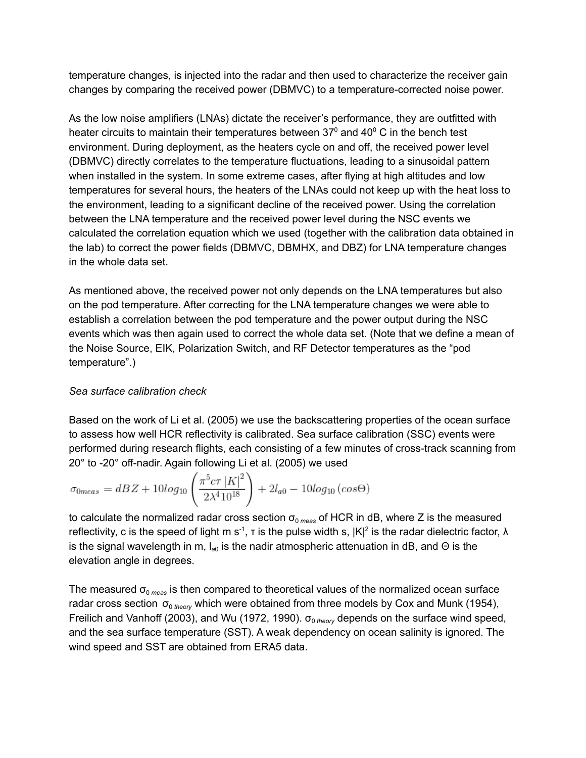temperature changes, is injected into the radar and then used to characterize the receiver gain changes by comparing the received power (DBMVC) to a temperature-corrected noise power.

As the low noise amplifiers (LNAs) dictate the receiver's performance, they are outfitted with heater circuits to maintain their temperatures between 37 $^{\circ}$  and 40 $^{\circ}$  C in the bench test environment. During deployment, as the heaters cycle on and off, the received power level (DBMVC) directly correlates to the temperature fluctuations, leading to a sinusoidal pattern when installed in the system. In some extreme cases, after flying at high altitudes and low temperatures for several hours, the heaters of the LNAs could not keep up with the heat loss to the environment, leading to a significant decline of the received power. Using the correlation between the LNA temperature and the received power level during the NSC events we calculated the correlation equation which we used (together with the calibration data obtained in the lab) to correct the power fields (DBMVC, DBMHX, and DBZ) for LNA temperature changes in the whole data set.

As mentioned above, the received power not only depends on the LNA temperatures but also on the pod temperature. After correcting for the LNA temperature changes we were able to establish a correlation between the pod temperature and the power output during the NSC events which was then again used to correct the whole data set. (Note that we define a mean of the Noise Source, EIK, Polarization Switch, and RF Detector temperatures as the "pod temperature".)

# *Sea surface calibration check*

Based on the work of Li et al. (2005) we use the backscattering properties of the ocean surface to assess how well HCR reflectivity is calibrated. Sea surface calibration (SSC) events were performed during research flights, each consisting of a few minutes of cross-track scanning from 20° to -20° off-nadir. Again following Li et al. (2005) we used

$$
\sigma_{0meas} = dBZ + 10\log_{10}\left(\frac{\pi^5 c \tau |K|^2}{2\lambda^4 10^{18}}\right) + 2l_{a0} - 10\log_{10}\left(\cos\Theta\right)
$$

to calculate the normalized radar cross section  $\sigma_{0 \text{ meas}}$  of HCR in dB, where Z is the measured reflectivity, c is the speed of light m s<sup>-1</sup>, t is the pulse width s,  $|K|^2$  is the radar dielectric factor,  $\lambda$ is the signal wavelength in m, l<sub>a0</sub> is the nadir atmospheric attenuation in dB, and Θ is the elevation angle in degrees.

The measured  $\sigma_{\text{o} \, \text{meas}}$  is then compared to theoretical values of the normalized ocean surface radar cross section σ<sub>0 theory</sub> which were obtained from three models by Cox and Munk (1954), Freilich and Vanhoff (2003), and Wu (1972, 1990).  $\sigma_{0 \text{ theory}}$  depends on the surface wind speed, and the sea surface temperature (SST). A weak dependency on ocean salinity is ignored. The wind speed and SST are obtained from ERA5 data.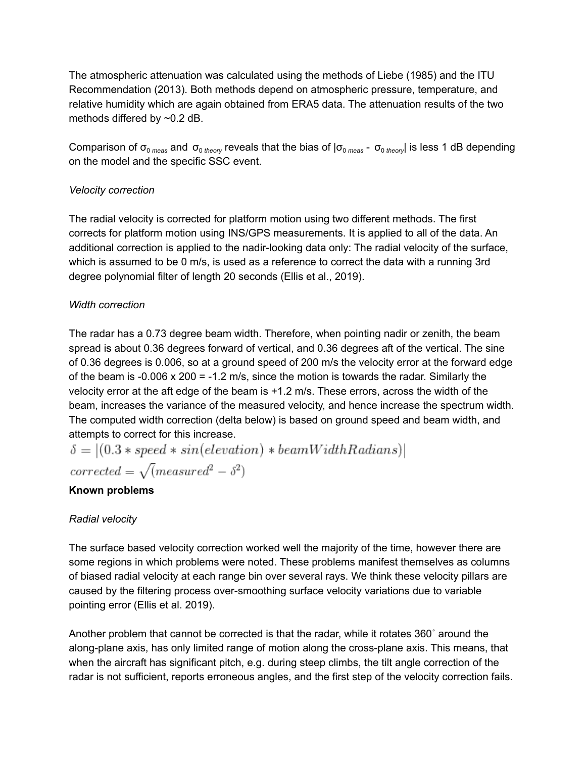The atmospheric attenuation was calculated using the methods of Liebe (1985) and the ITU Recommendation (2013). Both methods depend on atmospheric pressure, temperature, and relative humidity which are again obtained from ERA5 data. The attenuation results of the two methods differed by ~0.2 dB.

Comparison of σ<sub>0 *meas*</sub> and σ<sub>0 *theory* reveals that the bias of |σ<sub>0 *meas* - σ<sub>0 *theory*</sub>| is less 1 dB depending</sub></sub> on the model and the specific SSC event.

# *Velocity correction*

The radial velocity is corrected for platform motion using two different methods. The first corrects for platform motion using INS/GPS measurements. It is applied to all of the data. An additional correction is applied to the nadir-looking data only: The radial velocity of the surface, which is assumed to be 0 m/s, is used as a reference to correct the data with a running 3rd degree polynomial filter of length 20 seconds (Ellis et al., 2019).

# *Width correction*

The radar has a 0.73 degree beam width. Therefore, when pointing nadir or zenith, the beam spread is about 0.36 degrees forward of vertical, and 0.36 degrees aft of the vertical. The sine of 0.36 degrees is 0.006, so at a ground speed of 200 m/s the velocity error at the forward edge of the beam is -0.006  $\times$  200 = -1.2 m/s, since the motion is towards the radar. Similarly the velocity error at the aft edge of the beam is +1.2 m/s. These errors, across the width of the beam, increases the variance of the measured velocity, and hence increase the spectrum width. The computed width correction (delta below) is based on ground speed and beam width, and attempts to correct for this increase.

$$
\delta = |(0.3 * speed * sin(elevation) * beamWidthRadius)|
$$

 $corrected = \sqrt{measured^2 - \delta^2}$ 

# **Known problems**

# *Radial velocity*

The surface based velocity correction worked well the majority of the time, however there are some regions in which problems were noted. These problems manifest themselves as columns of biased radial velocity at each range bin over several rays. We think these velocity pillars are caused by the filtering process over-smoothing surface velocity variations due to variable pointing error (Ellis et al. 2019).

Another problem that cannot be corrected is that the radar, while it rotates 360˚ around the along-plane axis, has only limited range of motion along the cross-plane axis. This means, that when the aircraft has significant pitch, e.g. during steep climbs, the tilt angle correction of the radar is not sufficient, reports erroneous angles, and the first step of the velocity correction fails.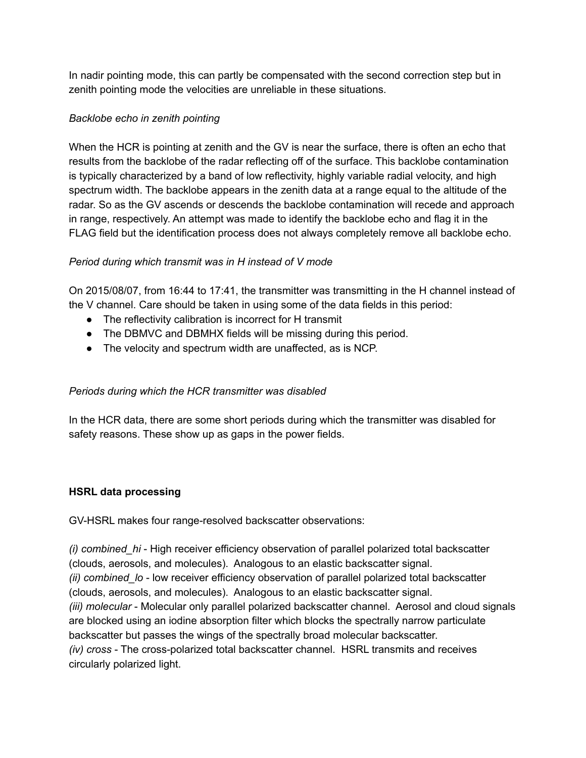In nadir pointing mode, this can partly be compensated with the second correction step but in zenith pointing mode the velocities are unreliable in these situations.

# *Backlobe echo in zenith pointing*

When the HCR is pointing at zenith and the GV is near the surface, there is often an echo that results from the backlobe of the radar reflecting off of the surface. This backlobe contamination is typically characterized by a band of low reflectivity, highly variable radial velocity, and high spectrum width. The backlobe appears in the zenith data at a range equal to the altitude of the radar. So as the GV ascends or descends the backlobe contamination will recede and approach in range, respectively. An attempt was made to identify the backlobe echo and flag it in the FLAG field but the identification process does not always completely remove all backlobe echo.

#### *Period during which transmit was in H instead of V mode*

On 2015/08/07, from 16:44 to 17:41, the transmitter was transmitting in the H channel instead of the V channel. Care should be taken in using some of the data fields in this period:

- The reflectivity calibration is incorrect for H transmit
- The DBMVC and DBMHX fields will be missing during this period.
- The velocity and spectrum width are unaffected, as is NCP.

# *Periods during which the HCR transmitter was disabled*

In the HCR data, there are some short periods during which the transmitter was disabled for safety reasons. These show up as gaps in the power fields.

# **HSRL data processing**

GV-HSRL makes four range-resolved backscatter observations:

*(i) combined\_hi* - High receiver efficiency observation of parallel polarized total backscatter (clouds, aerosols, and molecules). Analogous to an elastic backscatter signal. *(ii) combined lo* - low receiver efficiency observation of parallel polarized total backscatter (clouds, aerosols, and molecules). Analogous to an elastic backscatter signal. *(iii) molecular* - Molecular only parallel polarized backscatter channel. Aerosol and cloud signals are blocked using an iodine absorption filter which blocks the spectrally narrow particulate backscatter but passes the wings of the spectrally broad molecular backscatter. *(iv) cross* - The cross-polarized total backscatter channel. HSRL transmits and receives circularly polarized light.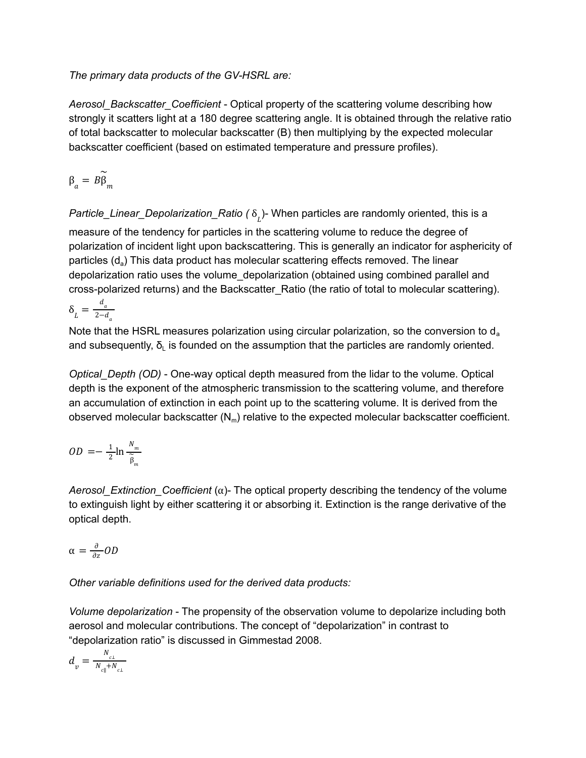*The primary data products of the GV-HSRL are:*

*Aerosol\_Backscatter\_Coefficient* - Optical property of the scattering volume describing how strongly it scatters light at a 180 degree scattering angle. It is obtained through the relative ratio of total backscatter to molecular backscatter (B) then multiplying by the expected molecular backscatter coefficient (based on estimated temperature and pressure profiles).

$$
\beta_a = B \widetilde{\beta}_m
$$

*Particle\_Linear\_Depolarization\_Ratio ( δ<sub>լ.</sub>)*- When particles are randomly oriented, this is a measure of the tendency for particles in the scattering volume to reduce the degree of polarization of incident light upon backscattering. This is generally an indicator for asphericity of particles (d<sub>a</sub>) This data product has molecular scattering effects removed. The linear depolarization ratio uses the volume\_depolarization (obtained using combined parallel and cross-polarized returns) and the Backscatter\_Ratio (the ratio of total to molecular scattering).

 $\delta_{L} = \frac{d_{a}}{2 - d}$  $2-a_a$ 

Note that the HSRL measures polarization using circular polarization, so the conversion to  $d_a$ and subsequently,  $\delta_{\text{L}}$  is founded on the assumption that the particles are randomly oriented.

*Optical\_Depth (OD)* - One-way optical depth measured from the lidar to the volume. Optical depth is the exponent of the atmospheric transmission to the scattering volume, and therefore an accumulation of extinction in each point up to the scattering volume. It is derived from the observed molecular backscatter  $(N_m)$  relative to the expected molecular backscatter coefficient.

$$
OD = -\frac{1}{2} \ln \frac{N_m}{\widetilde{\beta}_m}
$$

*Aerosol Extinction Coefficient* ( $\alpha$ )- The optical property describing the tendency of the volume to extinguish light by either scattering it or absorbing it. Extinction is the range derivative of the optical depth.

$$
\alpha = \frac{\partial}{\partial z} OD
$$

*Other variable definitions used for the derived data products:*

*Volume depolarization* - The propensity of the observation volume to depolarize including both aerosol and molecular contributions. The concept of "depolarization" in contrast to "depolarization ratio" is discussed in Gimmestad 2008.

$$
d_{v} = \frac{N_{c1}}{N_{c||} + N_{c1}}
$$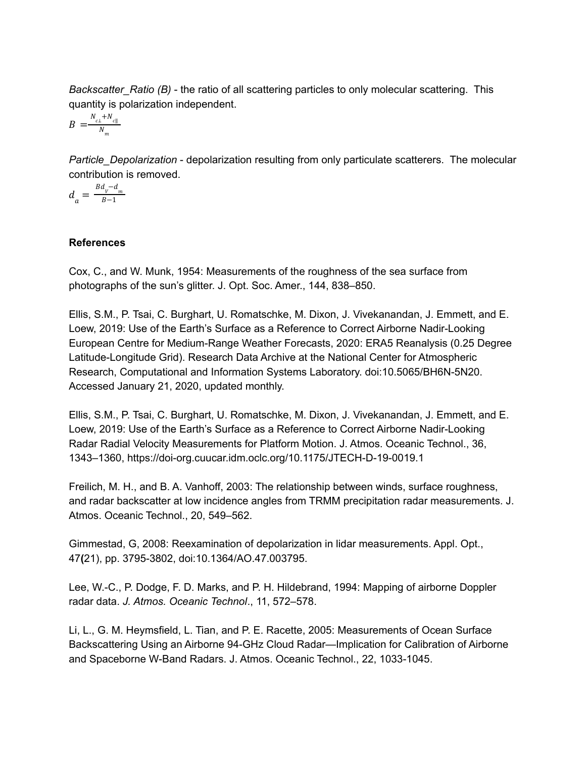*Backscatter\_Ratio (B)* - the ratio of all scattering particles to only molecular scattering. This quantity is polarization independent.

$$
B = \frac{N_{c\perp} + N_{c\parallel}}{N_m}
$$

*Particle\_Depolarization* - depolarization resulting from only particulate scatterers. The molecular contribution is removed.

$$
d_{a}=\tfrac{Bd_{v}-d_{m}}{B-1}
$$

#### **References**

Cox, C., and W. Munk, 1954: Measurements of the roughness of the sea surface from photographs of the sun's glitter. J. Opt. Soc. Amer., 144, 838–850.

Ellis, S.M., P. Tsai, C. Burghart, U. Romatschke, M. Dixon, J. Vivekanandan, J. Emmett, and E. Loew, 2019: Use of the Earth's Surface as a Reference to Correct Airborne Nadir-Looking European Centre for Medium-Range Weather Forecasts, 2020: ERA5 Reanalysis (0.25 Degree Latitude-Longitude Grid). Research Data Archive at the National Center for Atmospheric Research, Computational and Information Systems Laboratory. doi:10.5065/BH6N-5N20. Accessed January 21, 2020, updated monthly.

Ellis, S.M., P. Tsai, C. Burghart, U. Romatschke, M. Dixon, J. Vivekanandan, J. Emmett, and E. Loew, 2019: Use of the Earth's Surface as a Reference to Correct Airborne Nadir-Looking Radar Radial Velocity Measurements for Platform Motion. J. Atmos. Oceanic Technol., 36, 1343–1360, https://doi-org.cuucar.idm.oclc.org/10.1175/JTECH-D-19-0019.1

Freilich, M. H., and B. A. Vanhoff, 2003: The relationship between winds, surface roughness, and radar backscatter at low incidence angles from TRMM precipitation radar measurements. J. Atmos. Oceanic Technol., 20, 549–562.

Gimmestad, G, 2008: Reexamination of depolarization in lidar measurements. Appl. Opt., 47**(**21), pp. 3795-3802, doi:10.1364/AO.47.003795.

Lee, W.-C., P. Dodge, F. D. Marks, and P. H. Hildebrand, 1994: Mapping of airborne Doppler radar data. *J. Atmos. Oceanic Technol*., 11, 572–578.

Li, L., G. M. Heymsfield, L. Tian, and P. E. Racette, 2005: Measurements of Ocean Surface Backscattering Using an Airborne 94-GHz Cloud Radar—Implication for Calibration of Airborne and Spaceborne W-Band Radars. J. Atmos. Oceanic Technol., 22, 1033-1045.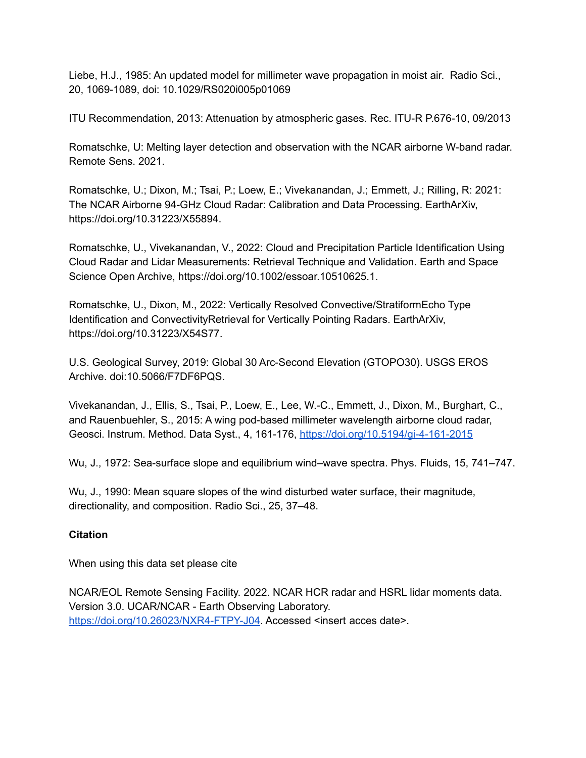Liebe, H.J., 1985: An updated model for millimeter wave propagation in moist air. Radio Sci., 20, 1069-1089, doi: 10.1029/RS020i005p01069

ITU Recommendation, 2013: Attenuation by atmospheric gases. Rec. ITU-R P.676-10, 09/2013

Romatschke, U: Melting layer detection and observation with the NCAR airborne W-band radar. Remote Sens. 2021.

Romatschke, U.; Dixon, M.; Tsai, P.; Loew, E.; Vivekanandan, J.; Emmett, J.; Rilling, R: 2021: The NCAR Airborne 94-GHz Cloud Radar: Calibration and Data Processing. EarthArXiv, https://doi.org/10.31223/X55894.

Romatschke, U., Vivekanandan, V., 2022: Cloud and Precipitation Particle Identification Using Cloud Radar and Lidar Measurements: Retrieval Technique and Validation. Earth and Space Science Open Archive, https://doi.org/10.1002/essoar.10510625.1.

Romatschke, U., Dixon, M., 2022: Vertically Resolved Convective/StratiformEcho Type Identification and ConvectivityRetrieval for Vertically Pointing Radars. EarthArXiv, https://doi.org/10.31223/X54S77.

U.S. Geological Survey, 2019: Global 30 Arc-Second Elevation (GTOPO30). USGS EROS Archive. doi:10.5066/F7DF6PQS.

Vivekanandan, J., Ellis, S., Tsai, P., Loew, E., Lee, W.-C., Emmett, J., Dixon, M., Burghart, C., and Rauenbuehler, S., 2015: A wing pod-based millimeter wavelength airborne cloud radar, Geosci. Instrum. Method. Data Syst., 4, 161-176, <https://doi.org/10.5194/gi-4-161-2015>

Wu, J., 1972: Sea-surface slope and equilibrium wind–wave spectra. Phys. Fluids, 15, 741–747.

Wu, J., 1990: Mean square slopes of the wind disturbed water surface, their magnitude, directionality, and composition. Radio Sci., 25, 37–48.

# **Citation**

When using this data set please cite

NCAR/EOL Remote Sensing Facility. 2022. NCAR HCR radar and HSRL lidar moments data. Version 3.0. UCAR/NCAR - Earth Observing Laboratory. <https://doi.org/10.26023/NXR4-FTPY-J04>. Accessed <insert acces date>.